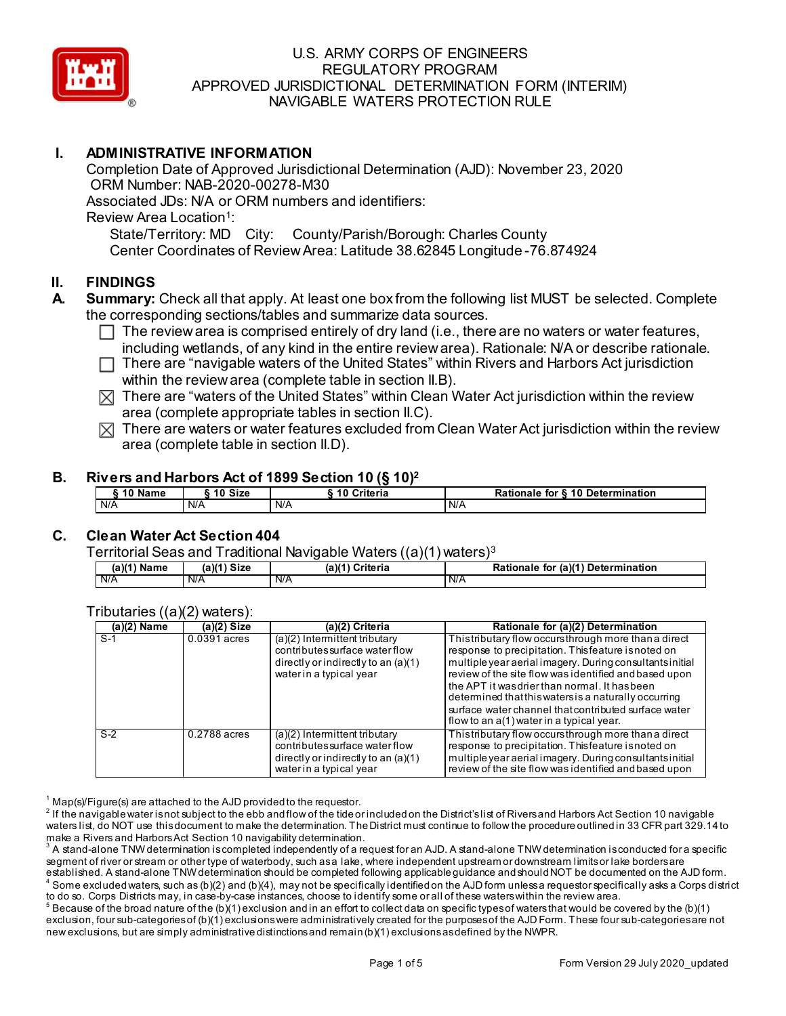

## **I. ADMINISTRATIVE INFORMATION**

Completion Date of Approved Jurisdictional Determination (AJD): November 23, 2020 ORM Number: NAB-2020-00278-M30 Associated JDs: N/A or ORM numbers and identifiers: Review Area Location<sup>1</sup>: State/Territory: MD City: County/Parish/Borough: Charles County Center Coordinates of Review Area: Latitude 38.62845 Longitude -76.874924

#### **II. FINDINGS**

- **A. Summary:** Check all that apply. At least one box from the following list MUST be selected. Complete the corresponding sections/tables and summarize data sources.
	- $\Box$  The review area is comprised entirely of dry land (i.e., there are no waters or water features, including wetlands, of any kind in the entire review area). Rationale: N/A or describe rationale.
	- $\Box$  There are "navigable waters of the United States" within Rivers and Harbors Act jurisdiction within the review area (complete table in section II.B).
	- $\boxtimes$  There are "waters of the United States" within Clean Water Act jurisdiction within the review area (complete appropriate tables in section II.C).
	- $\boxtimes$  There are waters or water features excluded from Clean Water Act jurisdiction within the review area (complete table in section II.D).

#### **B. Rivers and Harbors Act of 1899 Section 10 (§ 10)2**

| name<br>' U | <b>Size</b><br>10 | لمام مقاد<br>nerra<br>ı L | 10 Determination<br>---<br>TOI<br>naie<br>по |
|-------------|-------------------|---------------------------|----------------------------------------------|
| I N/A       | N/A               | N/A                       | N/A                                          |

# **C. Clean Water Act Section 404**

Territorial Seas and Traditional Navigable Waters ((a)(1) waters)3

| $(a)(1)$ Name | $(a)(1)$ Size | (a)(1) Criteria | (a)(1) Determination<br>Rationale<br>tor |
|---------------|---------------|-----------------|------------------------------------------|
| <b>N/A</b>    | N/A           | N/A             | N/A                                      |

| $(a)(2)$ Name | $(a)(2)$ Size | (a)(2) Criteria                                                                                                                       | Rationale for (a)(2) Determination                                                                                                                                                                                                                                                                                                                                                                                                            |
|---------------|---------------|---------------------------------------------------------------------------------------------------------------------------------------|-----------------------------------------------------------------------------------------------------------------------------------------------------------------------------------------------------------------------------------------------------------------------------------------------------------------------------------------------------------------------------------------------------------------------------------------------|
| $S-1$         | 0.0391 acres  | $(a)(2)$ Intermittent tributary<br>contributes surface water flow<br>directly or indirectly to an $(a)(1)$<br>water in a typical year | Thistributary flow occurs through more than a direct<br>response to precipitation. This feature is noted on<br>multiple year aerial imagery. During consultants initial<br>review of the site flow was identified and based upon<br>the APT it was drier than normal. It has been<br>determined that this waters is a naturally occurring<br>surface water channel that contributed surface water<br>flow to an a(1) water in a typical year. |
| $S-2$         | 0.2788 acres  | $(a)(2)$ Intermittent tributary<br>contributes surface water flow<br>directly or indirectly to an $(a)(1)$<br>water in a typical year | Thistributary flow occurs through more than a direct<br>response to precipitation. This feature is noted on<br>multiple year aerial imagery. During consultants initial<br>review of the site flow was identified and based upon                                                                                                                                                                                                              |

Tributaries ((a)(2) waters):

 $^1$  Map(s)/Figure(s) are attached to the AJD provided to the requestor.

 $^2$  If the navigable water is not subject to the ebb and flow of the tide or included on the District's list of Rivers and Harbors Act Section 10 navigable waters list, do NOT use this document to make the determination. The District must continue to follow the procedure outlined in 33 CFR part 329.14 to make a Rivers and Harbors Act Section 10 navigability determination.

 $^{\rm 3}$  A stand-alone TNW determination is completed independently of a request for an AJD. A stand-alone TNW determination is conducted for a specific segment of river or stream or other type of waterbody, such as a lake, where independent upstream or downstream limits or lake borders are established. A stand-alone TNW determination should be completed following applicable guidance and should NOT be documented on the AJD form.  $^4$  Some excluded waters, such as (b)(2) and (b)(4), may not be specifically identified on the AJD form unless a requestor specifically asks a Corps district to do so. Corps Districts may, in case-by-case instances, choose to identify some or all of these waters within the review area.

 $^5$  Because of the broad nature of the (b)(1) exclusion and in an effort to collect data on specific types of waters that would be covered by the (b)(1) exclusion, four sub-categories of (b)(1) exclusions were administratively created for the purposes of the AJD Form. These four sub-categories are not new exclusions, but are simply administrative distinctions and remain (b)(1) exclusions as defined by the NWPR.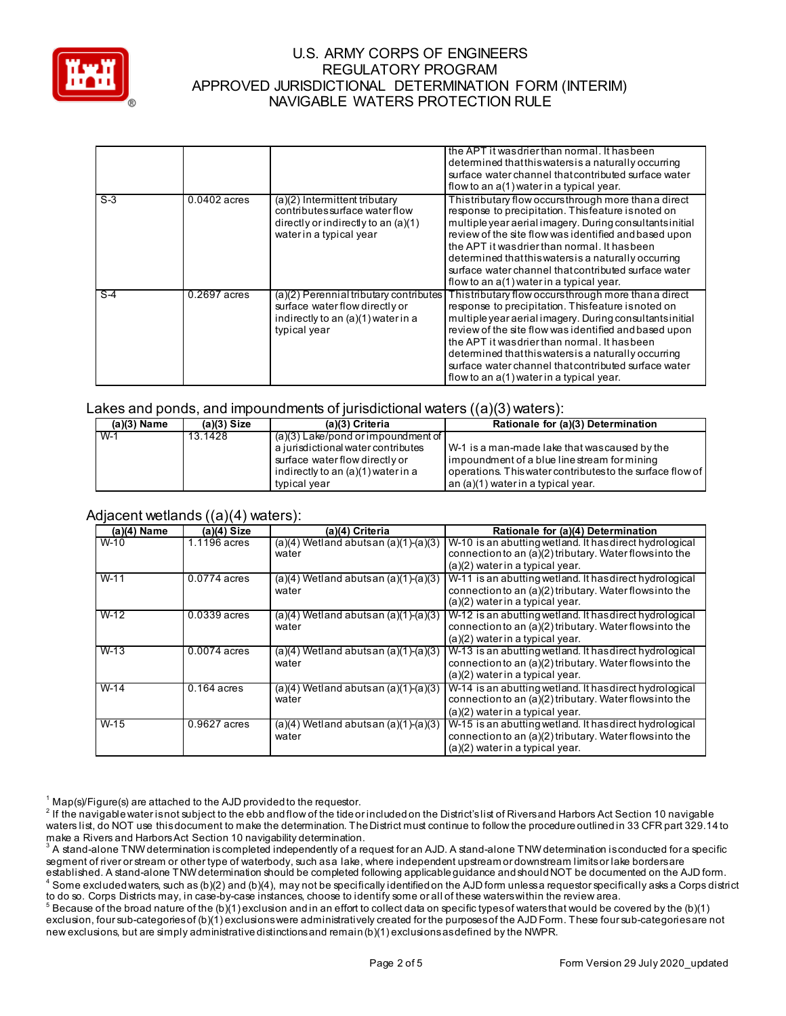

|       |                |                                                                                                                                       | the APT it was drier than normal. It has been<br>determined that this waters is a naturally occurring<br>surface water channel that contributed surface water<br>flow to an a(1) water in a typical year.                                                                                                                                                                                                                                     |
|-------|----------------|---------------------------------------------------------------------------------------------------------------------------------------|-----------------------------------------------------------------------------------------------------------------------------------------------------------------------------------------------------------------------------------------------------------------------------------------------------------------------------------------------------------------------------------------------------------------------------------------------|
| $S-3$ | $0.0402$ acres | $(a)(2)$ Intermittent tributary<br>contributes surface water flow<br>directly or indirectly to an $(a)(1)$<br>water in a typical year | Thistributary flow occurs through more than a direct<br>response to precipitation. This feature is noted on<br>multiple year aerial imagery. During consultants initial<br>review of the site flow was identified and based upon<br>the APT it was drier than normal. It has been<br>determined that this waters is a naturally occurring<br>surface water channel that contributed surface water<br>flow to an a(1) water in a typical year. |
| $S-4$ | $0.2697$ acres | $(a)(2)$ Perennial tributary contributes<br>surface water flow directly or<br>indirectly to an (a)(1) water in a<br>typical year      | Thistributary flow occurs through more than a direct<br>response to precipitation. This feature is noted on<br>multiple year aerial imagery. During consultants initial<br>review of the site flow was identified and based upon<br>the APT it was drier than normal. It has been<br>determined that this waters is a naturally occurring<br>surface water channel that contributed surface water<br>flow to an a(1) water in a typical year. |

#### Lakes and ponds, and impoundments of jurisdictional waters ((a)(3) waters):

| $(a)(3)$ Name | $(a)(3)$ Size | (a)(3) Criteria                                                                                                                                                    | Rationale for (a)(3) Determination                                                                                                                                                                                  |
|---------------|---------------|--------------------------------------------------------------------------------------------------------------------------------------------------------------------|---------------------------------------------------------------------------------------------------------------------------------------------------------------------------------------------------------------------|
| $W-1$         | 13.1428       | $(a)(3)$ Lake/pond or impoundment of<br>a jurisdictional water contributes<br>surface water flow directly or<br>indirectly to an (a)(1) water in a<br>typical year | $\mathsf{\mid W\!-\!1}$ is a man-made lake that wascaused by the<br>impoundment of a blue line stream for mining<br>operations. This water contributes to the surface flow of<br>an (a)(1) water in a typical year. |
|               |               |                                                                                                                                                                    |                                                                                                                                                                                                                     |

#### Adjacent wetlands ((a)(4) waters):

| $(a)(4)$ Name | $(a)(4)$ Size  | (a)(4) Criteria                                    | Rationale for (a)(4) Determination                                                                                                                      |
|---------------|----------------|----------------------------------------------------|---------------------------------------------------------------------------------------------------------------------------------------------------------|
| $W-10$        | 1.1196 acres   | $(a)(4)$ Wetland abutsan $(a)(1)-(a)(3)$<br>water  | W-10 is an abutting wetland. It has direct hydrological<br>connection to an (a)(2) tributary. Water flows into the                                      |
|               |                |                                                    | $(a)(2)$ water in a typical year.                                                                                                                       |
| $W-11$        | 0.0774 acres   | $(a)(4)$ Wetland abuts an $(a)(1)-(a)(3)$<br>water | W-11 is an abutting wetland. It has direct hydrological<br>connection to an (a)(2) tributary. Water flows into the<br>(a)(2) water in a typical year.   |
| $W-12$        | $0.0339$ acres | $(a)(4)$ Wetland abuts an $(a)(1)-(a)(3)$<br>water | W-12 is an abutting wetland. It has direct hydrological<br>connection to an (a)(2) tributary. Water flows into the<br>(a)(2) water in a typical year.   |
| $W-13$        | $0.0074$ acres | $(a)(4)$ Wetland abutsan $(a)(1)-(a)(3)$<br>water  | W-13 is an abutting wetland. It has direct hydrological<br>connection to an (a)(2) tributary. Water flows into the<br>(a)(2) water in a typical year.   |
| $W-14$        | $0.164$ acres  | $(a)(4)$ Wetland abuts an $(a)(1)-(a)(3)$<br>water | W-14 is an abutting wetland. It has direct hydrological<br>connection to an (a)(2) tributary. Water flows into the<br>$(a)(2)$ water in a typical year. |
| $W-15$        | $0.9627$ acres | $(a)(4)$ Wetland abuts an $(a)(1)-(a)(3)$<br>water | W-15 is an abutting wetland. It has direct hydrological<br>connection to an (a)(2) tributary. Water flows into the<br>(a)(2) water in a typical year.   |

 $1$  Map(s)/Figure(s) are attached to the AJD provided to the requestor.

<sup>2</sup> If the navigable water is not subject to the ebb and flow of the tide or included on the District's list of Rivers and Harbors Act Section 10 navigable waters list, do NOT use this document to make the determination. The District must continue to follow the procedure outlined in 33 CFR part 329.14 to make a Rivers and Harbors Act Section 10 navigability determination.

 $^{\rm 3}$  A stand-alone TNW determination is completed independently of a request for an AJD. A stand-alone TNW determination is conducted for a specific segment of river or stream or other type of waterbody, such as a lake, where independent upstream or downstream limits or lake borders are established. A stand-alone TNW determination should be completed following applicable guidance and should NOT be documented on the AJD form.  $^4$  Some excluded waters, such as (b)(2) and (b)(4), may not be specifically identified on the AJD form unless a requestor specifically asks a Corps district to do so. Corps Districts may, in case-by-case instances, choose to identify some or all of these waters within the review area.

 $^5$  Because of the broad nature of the (b)(1) exclusion and in an effort to collect data on specific types of waters that would be covered by the (b)(1) exclusion, four sub-categories of (b)(1) exclusions were administratively created for the purposes of the AJD Form. These four sub-categories are not new exclusions, but are simply administrative distinctions and remain (b)(1) exclusions as defined by the NWPR.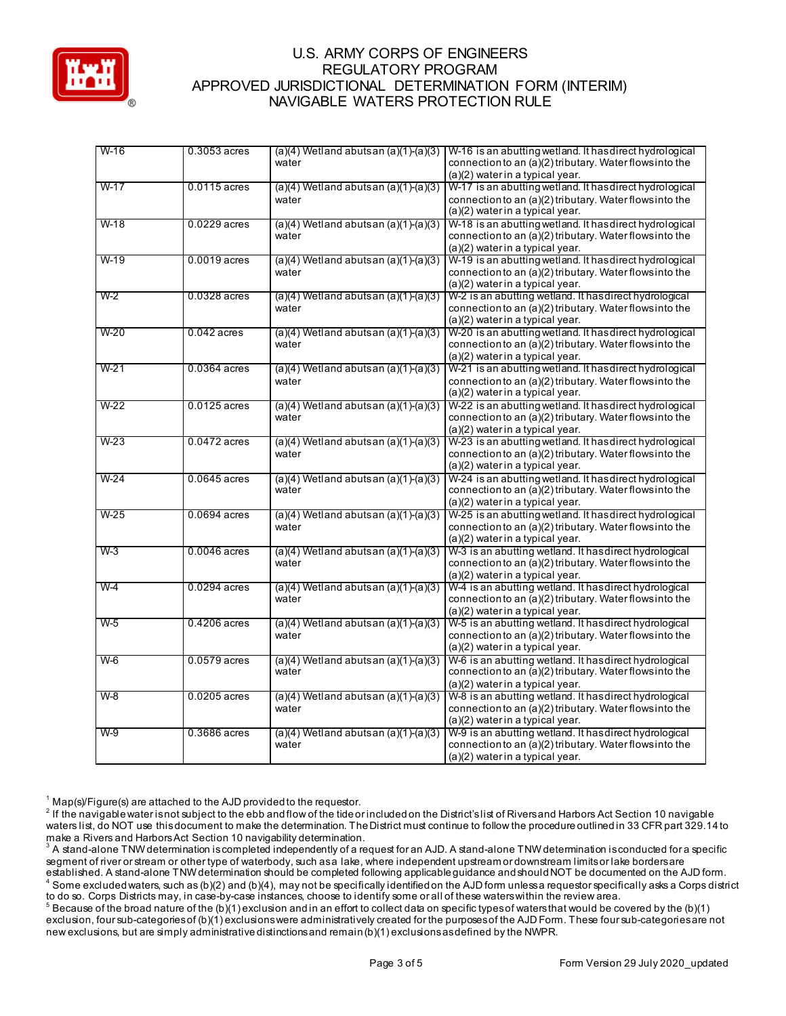

| $W-16$ | $0.3053$ acres | $(a)(4)$ Wetland abuts an $(a)(1)-(a)(3)$ | W-16 is an abutting wetland. It has direct hydrological   |
|--------|----------------|-------------------------------------------|-----------------------------------------------------------|
|        |                | water                                     | connection to an (a)(2) tributary. Water flows into the   |
|        |                |                                           | (a)(2) water in a typical year.                           |
| $W-17$ | $0.0115$ acres | $(a)(4)$ Wetland abutsan $(a)(1)-(a)(3)$  | W-17 is an abutting wetland. It has direct hydrological   |
|        |                | water                                     | connection to an (a)(2) tributary. Water flows into the   |
|        |                |                                           | (a)(2) water in a typical year.                           |
|        |                |                                           |                                                           |
| $W-18$ | $0.0229$ acres | $(a)(4)$ Wetland abutsan $(a)(1)-(a)(3)$  | W-18 is an abutting wetland. It has direct hydrological   |
|        |                | water                                     | connection to an (a)(2) tributary. Water flows into the   |
|        |                |                                           | (a)(2) water in a typical year.                           |
| $W-19$ | $0.0019$ acres | $(a)(4)$ Wetland abutsan $(a)(1)-(a)(3)$  | W-19 is an abutting wetland. It has direct hydrological   |
|        |                | water                                     | connection to an (a)(2) tributary. Water flows into the   |
|        |                |                                           | (a)(2) water in a typical year.                           |
| W-2    | $0.0328$ acres | $(a)(4)$ Wetland abutsan $(a)(1)-(a)(3)$  | W-2 is an abutting wetland. It has direct hydrological    |
|        |                |                                           |                                                           |
|        |                | water                                     | connection to an (a)(2) tributary. Water flows into the   |
|        |                |                                           | (a)(2) water in a typical year.                           |
| $W-20$ | $0.042$ acres  | $(a)(4)$ Wetland abutsan $(a)(1)-(a)(3)$  | W-20 is an abutting wetland. It has direct hydrological   |
|        |                | water                                     | connection to an (a)(2) tributary. Water flows into the   |
|        |                |                                           | (a)(2) water in a typical year.                           |
| $W-21$ | $0.0364$ acres | $(a)(4)$ Wetland abutsan $(a)(1)-(a)(3)$  | W-21 is an abutting wetland. It has direct hydrological   |
|        |                | water                                     | connection to an $(a)(2)$ tributary. Water flows into the |
|        |                |                                           | (a)(2) water in a typical year.                           |
| $W-22$ | $0.0125$ acres | $(a)(4)$ Wetland abutsan $(a)(1)-(a)(3)$  | W-22 is an abutting wetland. It has direct hydrological   |
|        |                |                                           |                                                           |
|        |                | water                                     | connection to an (a)(2) tributary. Water flows into the   |
|        |                |                                           | (a)(2) water in a typical year.                           |
| $W-23$ | $0.0472$ acres | $(a)(4)$ Wetland abutsan $(a)(1)-(a)(3)$  | $W-23$ is an abutting wetland. It has direct hydrological |
|        |                | water                                     | connection to an (a)(2) tributary. Water flows into the   |
|        |                |                                           | (a)(2) water in a typical year.                           |
| $W-24$ | $0.0645$ acres | $(a)(4)$ Wetland abutsan $(a)(1)-(a)(3)$  | W-24 is an abutting wetland. It has direct hydrological   |
|        |                | water                                     | connection to an $(a)(2)$ tributary. Water flows into the |
|        |                |                                           | (a)(2) water in a typical year.                           |
| $W-25$ | $0.0694$ acres | $(a)(4)$ Wetland abutsan $(a)(1)-(a)(3)$  | W-25 is an abutting wetland. It has direct hydrological   |
|        |                | water                                     | connection to an (a)(2) tributary. Water flows into the   |
|        |                |                                           |                                                           |
|        |                |                                           | (a)(2) water in a typical year.                           |
| $W-3$  | $0.0046$ acres | $(a)(4)$ Wetland abutsan $(a)(1)-(a)(3)$  | W-3 is an abutting wetland. It has direct hydrological    |
|        |                | water                                     | connection to an (a)(2) tributary. Water flows into the   |
|        |                |                                           | (a)(2) water in a typical year.                           |
| $W-4$  | $0.0294$ acres | $(a)(4)$ Wetland abutsan $(a)(1)-(a)(3)$  | W-4 is an abutting wetland. It has direct hydrological    |
|        |                | water                                     | connection to an (a)(2) tributary. Water flows into the   |
|        |                |                                           | (a)(2) water in a typical year.                           |
| $W-5$  | $0.4206$ acres | $(a)(4)$ Wetland abutsan $(a)(1)-(a)(3)$  | W-5 is an abutting wetland. It has direct hydrological    |
|        |                | water                                     |                                                           |
|        |                |                                           | connection to an (a)(2) tributary. Water flows into the   |
|        |                |                                           | (a)(2) water in a typical year.                           |
| $W-6$  | $0.0579$ acres | $(a)(4)$ Wetland abutsan $(a)(1)-(a)(3)$  | W-6 is an abutting wetland. It has direct hydrological    |
|        |                | water                                     | connection to an (a)(2) tributary. Water flows into the   |
|        |                |                                           | (a)(2) water in a typical year.                           |
| $W-8$  | $0.0205$ acres | $(a)(4)$ Wetland abutsan $(a)(1)-(a)(3)$  | W-8 is an abutting wetland. It has direct hydrological    |
|        |                | water                                     | connection to an (a)(2) tributary. Water flows into the   |
|        |                |                                           | (a)(2) water in a typical year.                           |
|        |                |                                           |                                                           |
| $W-9$  | 0.3686 acres   | $(a)(4)$ Wetland abutsan $(a)(1)-(a)(3)$  | W-9 is an abutting wetland. It has direct hydrological    |
|        |                | water                                     | connection to an (a)(2) tributary. Water flows into the   |
|        |                |                                           | (a)(2) water in a typical year.                           |

 $1$  Map(s)/Figure(s) are attached to the AJD provided to the requestor.

<sup>2</sup> If the navigable water is not subject to the ebb and flow of the tide or included on the District's list of Rivers and Harbors Act Section 10 navigable waters list, do NOT use this document to make the determination. The District must continue to follow the procedure outlined in 33 CFR part 329.14 to make a Rivers and Harbors Act Section 10 navigability determination.

 $^3$  A stand-alone TNW determination is completed independently of a request for an AJD. A stand-alone TNW determination is conducted for a specific segment of river or stream or other type of waterbody, such as a lake, where independent upstream or downstream limits or lake borders are established. A stand-alone TNW determination should be completed following applicable guidance and should NOT be documented on the AJD form.  $^4$  Some excluded waters, such as (b)(2) and (b)(4), may not be specifically identified on the AJD form unless a requestor specifically asks a Corps district to do so. Corps Districts may, in case-by-case instances, choose to identify some or all of these waters within the review area.

 $^5$  Because of the broad nature of the (b)(1) exclusion and in an effort to collect data on specific types of waters that would be covered by the (b)(1) exclusion, four sub-categories of (b)(1) exclusions were administratively created for the purposes of the AJD Form. These four sub-categories are not new exclusions, but are simply administrative distinctions and remain (b)(1) exclusions as defined by the NWPR.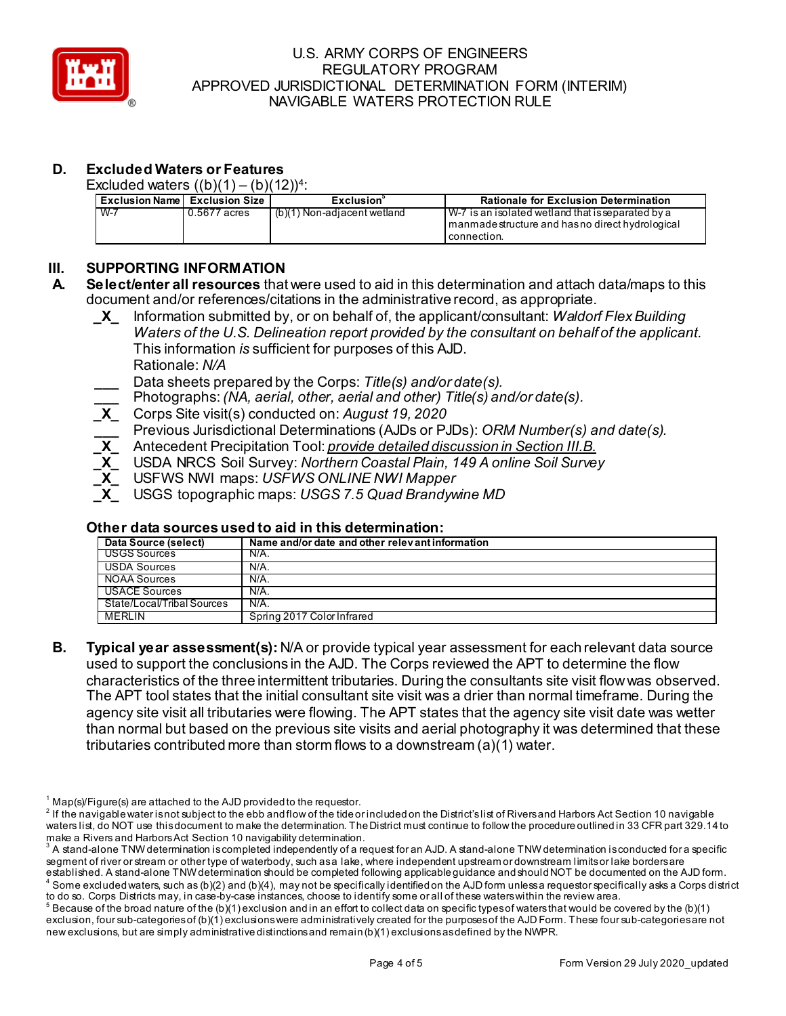

# **D. Excluded Waters or Features**

Excluded waters  $((b)(1) - (b)(12))^4$ :

|       | <b>Exclusion Name Exclusion Size</b> | Exclusion                   | <b>Rationale for Exclusion Determination</b>                                                                             |
|-------|--------------------------------------|-----------------------------|--------------------------------------------------------------------------------------------------------------------------|
| $W-7$ | 0.5677 acres                         | (b)(1) Non-adjacent wetland | l W-7 is an isolated wetland that is separated by a<br>I manmade structure and has no direct hydrological<br>connection. |

# **III. SUPPORTING INFORMATION**

- **A. Select/enter all resources** that were used to aid in this determination and attach data/maps to this document and/or references/citations in the administrative record, as appropriate.
	- **\_X\_** Information submitted by, or on behalf of, the applicant/consultant: *Waldorf Flex Building Waters of the U.S. Delineation report provided by the consultant on behalf of the applicant.*  This information *is* sufficient for purposes of this AJD. Rationale: *N/A*
	- **\_\_\_** Data sheets prepared by the Corps: *Title(s) and/or date(s).*
	- **\_\_\_** Photographs:*(NA, aerial, other, aerial and other) Title(s) and/or date(s).*
	- **\_X\_** Corps Site visit(s) conducted on: *August 19, 2020*
	- **\_\_\_** Previous Jurisdictional Determinations (AJDs or PJDs): *ORM Number(s) and date(s).*
	- **\_X\_** Antecedent Precipitation Tool: *provide detailed discussion in Section III.B.*
	- **\_X\_** USDA NRCS Soil Survey: *Northern Coastal Plain, 149 A online Soil Survey*
	- **\_X\_** USFWS NWI maps: *USFWS ONLINE NWI Mapper*
	- **\_X\_** USGS topographic maps: *USGS 7.5 Quad Brandywine MD*

#### **Other data sources used to aid in this determination:**

| Data Source (select)       | Name and/or date and other relevant information |
|----------------------------|-------------------------------------------------|
| USGS Sources               | N/A.                                            |
| USDA Sources               | N/A.                                            |
| <b>NOAA Sources</b>        | N/A.                                            |
| USACE Sources              | N/A.                                            |
| State/Local/Tribal Sources | $N/A$ .                                         |
| <b>MERLIN</b>              | Spring 2017 Color Infrared                      |

**B. Typical year assessment(s):** N/A or provide typical year assessment for each relevant data source used to support the conclusions in the AJD. The Corps reviewed the APT to determine the flow characteristics of the three intermittent tributaries. During the consultants site visit flow was observed. The APT tool states that the initial consultant site visit was a drier than normal timeframe. During the agency site visit all tributaries were flowing. The APT states that the agency site visit date was wetter than normal but based on the previous site visits and aerial photography it was determined that these tributaries contributed more than storm flows to a downstream (a)(1) water.

 $1$  Map(s)/Figure(s) are attached to the AJD provided to the requestor.

 $^2$  If the navigable water is not subject to the ebb and flow of the tide or included on the District's list of Rivers and Harbors Act Section 10 navigable waters list, do NOT use this document to make the determination. The District must continue to follow the procedure outlined in 33 CFR part 329.14 to make a Rivers and Harbors Act Section 10 navigability determination.

 $^{\rm 3}$  A stand-alone TNW determination is completed independently of a request for an AJD. A stand-alone TNW determination is conducted for a specific segment of river or stream or other type of waterbody, such as a lake, where independent upstream or downstream limits or lake borders are established. A stand-alone TNW determination should be completed following applicable guidance and should NOT be documented on the AJD form.  $^4$  Some excluded waters, such as (b)(2) and (b)(4), may not be specifically identified on the AJD form unless a requestor specifically asks a Corps district

to do so. Corps Districts may, in case-by-case instances, choose to identify some or all of these waters within the review area.

 $^5$  Because of the broad nature of the (b)(1) exclusion and in an effort to collect data on specific types of waters that would be covered by the (b)(1) exclusion, four sub-categories of (b)(1) exclusions were administratively created for the purposes of the AJD Form. These four sub-categories are not new exclusions, but are simply administrative distinctions and remain (b)(1) exclusions as defined by the NWPR.